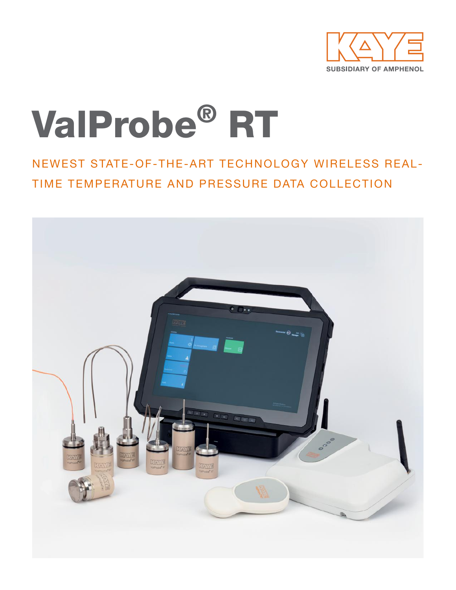

# ValProbe® RT

NEWEST STATE-OF-THE-ART TECHNOLOGY WIRELESS REAL-TIME TEMPERATURE AND PRESSURE DATA COLLECTION

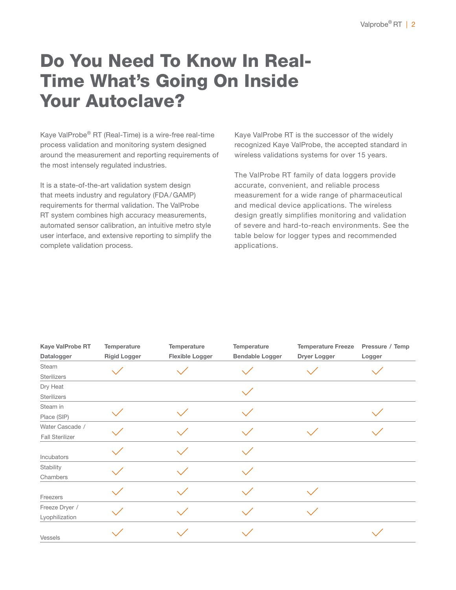# Do You Need To Know In Real-Time What's Going On Inside Your Autoclave?

Kaye ValProbe® RT (Real-Time) is a wire-free real-time process validation and monitoring system designed around the measurement and reporting requirements of the most intensely regulated industries.

It is a state-of-the-art validation system design that meets industry and regulatory (FDA/GAMP) requirements for thermal validation. The ValProbe RT system combines high accuracy measurements, automated sensor calibration, an intuitive metro style user interface, and extensive reporting to simplify the complete validation process.

Kaye ValProbe RT is the successor of the widely recognized Kaye ValProbe, the accepted standard in wireless validations systems for over 15 years.

The ValProbe RT family of data loggers provide accurate, convenient, and reliable process measurement for a wide range of pharmaceutical and medical device applications. The wireless design greatly simplifies monitoring and validation of severe and hard-to-reach environments. See the table below for logger types and recommended applications.

| Kaye ValProbe RT       | Temperature         | Temperature            | Temperature            | <b>Temperature Freeze</b> | Pressure / Temp |
|------------------------|---------------------|------------------------|------------------------|---------------------------|-----------------|
| Datalogger             | <b>Rigid Logger</b> | <b>Flexible Logger</b> | <b>Bendable Logger</b> | Dryer Logger              | Logger          |
| Steam                  |                     |                        |                        |                           |                 |
| Sterilizers            |                     |                        |                        |                           |                 |
| Dry Heat               |                     |                        |                        |                           |                 |
| <b>Sterilizers</b>     |                     |                        |                        |                           |                 |
| Steam in               |                     |                        |                        |                           |                 |
| Place (SIP)            |                     |                        |                        |                           |                 |
| Water Cascade /        |                     |                        |                        |                           |                 |
| <b>Fall Sterilizer</b> |                     |                        |                        |                           |                 |
|                        |                     |                        |                        |                           |                 |
| Incubators             |                     |                        |                        |                           |                 |
| Stability              |                     |                        |                        |                           |                 |
| Chambers               |                     |                        |                        |                           |                 |
|                        |                     |                        |                        |                           |                 |
| Freezers               |                     |                        |                        |                           |                 |
| Freeze Dryer /         |                     |                        |                        |                           |                 |
| Lyophilization         |                     |                        |                        |                           |                 |
| Vessels                |                     |                        |                        |                           |                 |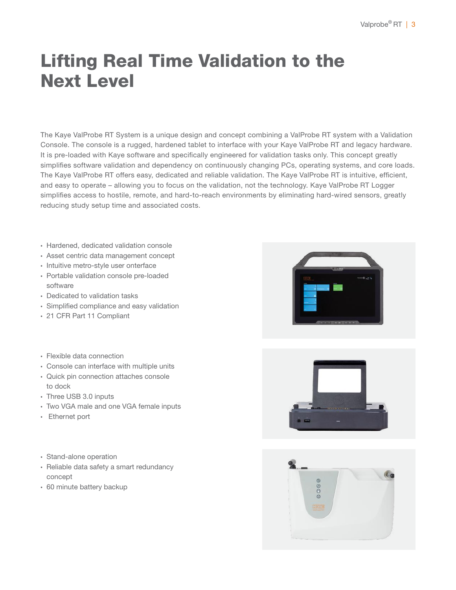# Lifting Real Time Validation to the Next Level

The Kaye ValProbe RT System is a unique design and concept combining a ValProbe RT system with a Validation Console. The console is a rugged, hardened tablet to interface with your Kaye ValProbe RT and legacy hardware. It is pre-loaded with Kaye software and specifically engineered for validation tasks only. This concept greatly simplifies software validation and dependency on continuously changing PCs, operating systems, and core loads. The Kaye ValProbe RT offers easy, dedicated and reliable validation. The Kaye ValProbe RT is intuitive, efficient, and easy to operate – allowing you to focus on the validation, not the technology. Kaye ValProbe RT Logger simplifies access to hostile, remote, and hard-to-reach environments by eliminating hard-wired sensors, greatly reducing study setup time and associated costs.

- ∙ Hardened, dedicated validation console
- ∙ Asset centric data management concept
- ∙ Intuitive metro-style user onterface
- ∙ Portable validation console pre-loaded software
- ∙ Dedicated to validation tasks
- ∙ Simplified compliance and easy validation
- ∙ 21 CFR Part 11 Compliant
- ∙ Flexible data connection
- ∙ Console can interface with multiple units
- ∙ Quick pin connection attaches console to dock
- ∙ Three USB 3.0 inputs
- ∙ Two VGA male and one VGA female inputs
- ∙ Ethernet port
- ∙ Stand-alone operation
- ∙ Reliable data safety a smart redundancy concept
- ∙ 60 minute battery backup





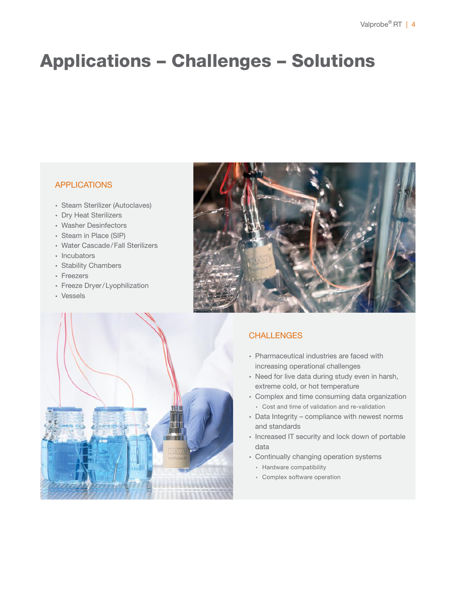# Applications – Challenges – Solutions

# **APPLICATIONS**

- ∙ Steam Sterilizer (Autoclaves)
- ∙ Dry Heat Sterilizers
- ∙ Washer Desinfectors
- ∙ Steam in Place (SIP)
- ∙ Water Cascade/Fall Sterilizers
- ∙ Incubators
- ∙ Stability Chambers
- ∙ Freezers
- ∙ Freeze Dryer/Lyophilization
- ∙ Vessels



# **CHALLENGES**

- ∙ Pharmaceutical industries are faced with increasing operational challenges
- ∙ Need for live data during study even in harsh, extreme cold, or hot temperature
- ∙ Complex and time consuming data organization ∙ Cost and time of validation and re-validation
- ∙ Data Integrity compliance with newest norms and standards
- ∙ Increased IT security and lock down of portable data
- ∙ Continually changing operation systems
	- ∙ Hardware compatibility
	- ∙ Complex software operation

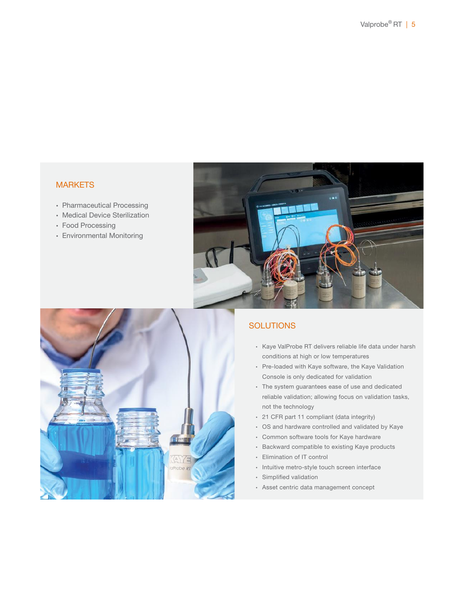# **MARKETS**

- ∙ Pharmaceutical Processing
- ∙ Medical Device Sterilization
- ∙ Food Processing
- ∙ Environmental Monitoring





# **SOLUTIONS**

- ∙ Kaye ValProbe RT delivers reliable life data under harsh conditions at high or low temperatures
- ∙ Pre-loaded with Kaye software, the Kaye Validation Console is only dedicated for validation
- ∙ The system guarantees ease of use and dedicated reliable validation; allowing focus on validation tasks, not the technology
- ∙ 21 CFR part 11 compliant (data integrity)
- ∙ OS and hardware controlled and validated by Kaye
- ∙ Common software tools for Kaye hardware
- ∙ Backward compatible to existing Kaye products
- ∙ Elimination of IT control
- ∙ Intuitive metro-style touch screen interface
- ∙ Simplified validation
- ∙ Asset centric data management concept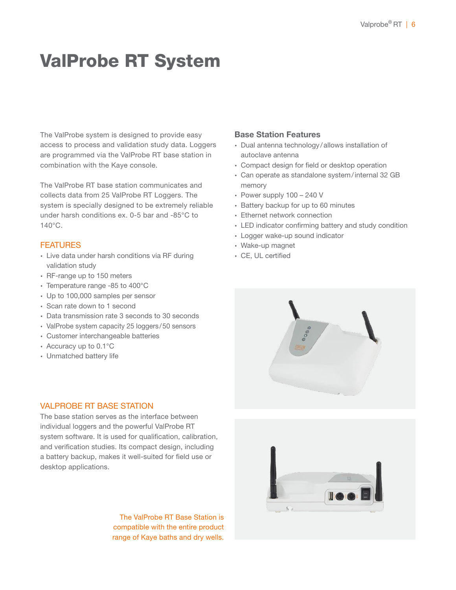# ValProbe RT System

The ValProbe system is designed to provide easy access to process and validation study data. Loggers are programmed via the ValProbe RT base station in combination with the Kaye console.

The ValProbe RT base station communicates and collects data from 25 ValProbe RT Loggers. The system is specially designed to be extremely reliable under harsh conditions ex. 0-5 bar and -85°C to  $140^{\circ}$ C.

# **FEATURES**

- ∙ Live data under harsh conditions via RF during validation study
- ∙ RF-range up to 150 meters
- ∙ Temperature range -85 to 400°C
- ∙ Up to 100,000 samples per sensor
- ∙ Scan rate down to 1 second
- ∙ Data transmission rate 3 seconds to 30 seconds
- ∙ ValProbe system capacity 25 loggers/50 sensors
- ∙ Customer interchangeable batteries
- ∙ Accuracy up to 0.1°C
- ∙ Unmatched battery life

# Base Station Features

- ∙ Dual antenna technology /allows installation of autoclave antenna
- ∙ Compact design for field or desktop operation
- ∙ Can operate as standalone system/internal 32 GB memory
- ∙ Power supply 100 240 V
- ∙ Battery backup for up to 60 minutes
- ∙ Ethernet network connection
- ∙ LED indicator confirming battery and study condition
- ∙ Logger wake-up sound indicator
- ∙ Wake-up magnet
- ∙ CE, UL certified





### VALPROBE RT BASE STATION

The base station serves as the interface between individual loggers and the powerful ValProbe RT system software. It is used for qualification, calibration, and verification studies. Its compact design, including a battery backup, makes it well-suited for field use or desktop applications.

> The ValProbe RT Base Station is compatible with the entire product range of Kaye baths and dry wells.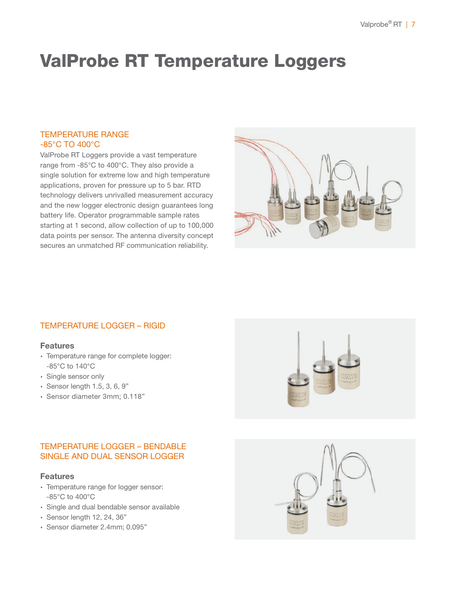# ValProbe RT Temperature Loggers

# TEMPERATURE RANGE -85°C TO 400°C

ValProbe RT Loggers provide a vast temperature range from -85°C to 400°C. They also provide a single solution for extreme low and high temperature applications, proven for pressure up to 5 bar. RTD technology delivers unrivalled measurement accuracy and the new logger electronic design guarantees long battery life. Operator programmable sample rates starting at 1 second, allow collection of up to 100,000 data points per sensor. The antenna diversity concept secures an unmatched RF communication reliability.



# TEMPERATURE LOGGER – RIGID

#### Features

- ∙ Temperature range for complete logger: -85°C to 140°C
- ∙ Single sensor only
- ∙ Sensor length 1.5, 3, 6, 9"
- ∙ Sensor diameter 3mm; 0.118"

# TEMPERATURE LOGGER – BENDABLE SINGLE AND DUAL SENSOR LOGGER

### Features

- ∙ Temperature range for logger sensor: -85°C to 400°C
- ∙ Single and dual bendable sensor available
- ∙ Sensor length 12, 24, 36"
- ∙ Sensor diameter 2.4mm; 0.095"



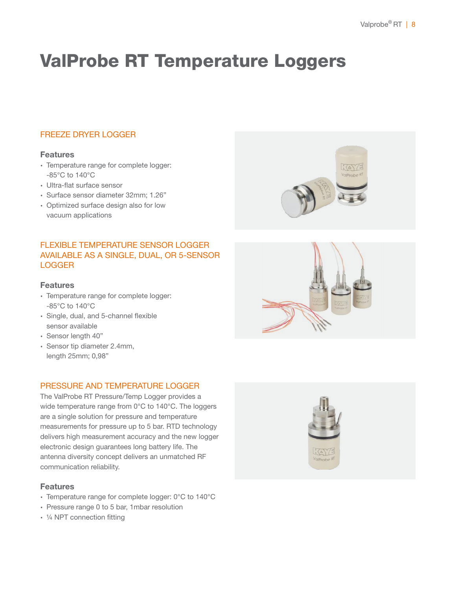# ValProbe RT Temperature Loggers

# FREEZE DRYER LOGGER

# **Features**

- ∙ Temperature range for complete logger: -85°C to 140°C
- ∙ Ultra-flat surface sensor
- ∙ Surface sensor diameter 32mm; 1.26"
- ∙ Optimized surface design also for low vacuum applications

# FLEXIBLE TEMPERATURE SENSOR LOGGER AVAILABLE AS A SINGLE, DUAL, OR 5-SENSOR LOGGER

# Features

- ∙ Temperature range for complete logger: -85°C to 140°C
- ∙ Single, dual, and 5-channel flexible sensor available
- ∙ Sensor length 40"
- ∙ Sensor tip diameter 2.4mm, length 25mm; 0,98"

# PRESSURE AND TEMPERATURE LOGGER

The ValProbe RT Pressure/Temp Logger provides a wide temperature range from 0°C to 140°C. The loggers are a single solution for pressure and temperature measurements for pressure up to 5 bar. RTD technology delivers high measurement accuracy and the new logger electronic design guarantees long battery life. The antenna diversity concept delivers an unmatched RF communication reliability.

# Features

- ∙ Temperature range for complete logger: 0°C to 140°C
- ∙ Pressure range 0 to 5 bar, 1mbar resolution
- ∙ ¼ NPT connection fitting





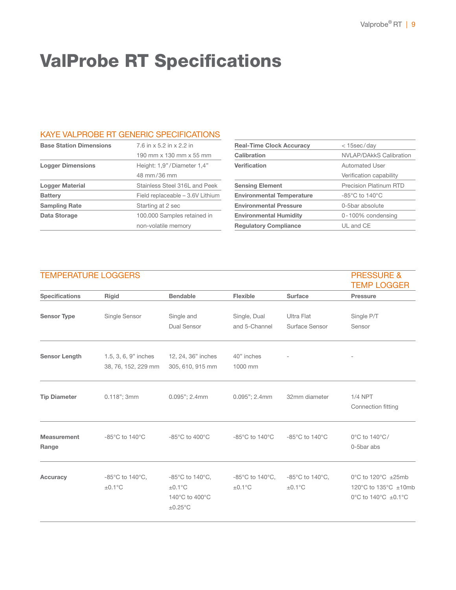# ValProbe RT Specifications

# KAYE VALPROBE RT GENERIC SPECIFICATIONS

| <b>Base Station Dimensions</b> | 7.6 in x 5.2 in x 2.2 in         |
|--------------------------------|----------------------------------|
|                                | 190 mm x 130 mm x 55 mm          |
| <b>Logger Dimensions</b>       | Height: 1,9"/Diameter 1,4"       |
|                                | 48 mm/36 mm                      |
| <b>Logger Material</b>         | Stainless Steel 316L and Peek    |
| <b>Battery</b>                 | Field replaceable – 3.6V Lithium |
| <b>Sampling Rate</b>           | Starting at 2 sec                |
| Data Storage                   | 100.000 Samples retained in      |
|                                | non-volatile memory              |

| <b>Real-Time Clock Accuracy</b>  | $<$ 15sec/day                       |
|----------------------------------|-------------------------------------|
| Calibration                      | <b>NVLAP/DAkkS Calibration</b>      |
| <b>Verification</b>              | <b>Automated User</b>               |
|                                  | Verification capability             |
| <b>Sensing Element</b>           | <b>Precision Platinum RTD</b>       |
| <b>Environmental Temperature</b> | $-85^{\circ}$ C to 140 $^{\circ}$ C |
| <b>Environmental Pressure</b>    | 0-5bar absolute                     |
| <b>Environmental Humidity</b>    | 0-100% condensing                   |
| <b>Regulatory Compliance</b>     | UL and CE                           |
|                                  |                                     |

# TEMPERATURE LOGGERS PRESSURE &

|                             |                                                      |                                                                                                |                                                      |                                                      | <b>TEMP LOGGER</b>                                                |
|-----------------------------|------------------------------------------------------|------------------------------------------------------------------------------------------------|------------------------------------------------------|------------------------------------------------------|-------------------------------------------------------------------|
| <b>Specifications</b>       | Rigid                                                | <b>Bendable</b>                                                                                | Flexible                                             | <b>Surface</b>                                       | <b>Pressure</b>                                                   |
| <b>Sensor Type</b>          | Single Sensor                                        | Single and<br>Dual Sensor                                                                      | Single, Dual<br>and 5-Channel                        | <b>Ultra Flat</b><br>Surface Sensor                  | Single P/T<br>Sensor                                              |
| <b>Sensor Length</b>        | 1.5, 3, 6, 9" inches<br>38, 76, 152, 229 mm          | 12, 24, 36" inches<br>305, 610, 915 mm                                                         | 40" inches<br>1000 mm                                |                                                      |                                                                   |
| <b>Tip Diameter</b>         | $0.118$ "; 3mm                                       | $0.095$ "; $2.4$ mm                                                                            | $0.095$ "; $2.4$ mm                                  | 32mm diameter                                        | <b>1/4 NPT</b><br>Connection fitting                              |
| <b>Measurement</b><br>Range | -85 $\mathrm{^{\circ}C}$ to 140 $\mathrm{^{\circ}C}$ | $-85^{\circ}$ C to $400^{\circ}$ C                                                             | $-85^{\circ}$ C to 140 $^{\circ}$ C                  | -85°C to 140°C                                       | 0°C to 140°C/<br>0-5bar abs                                       |
| <b>Accuracy</b>             | -85°C to 140°C,<br>$\pm 0.1$ °C                      | $-85^{\circ}$ C to 140 $^{\circ}$ C,<br>$\pm 0.1$ °C<br>140°C to 400°C<br>$\pm 0.25^{\circ}$ C | $-85^{\circ}$ C to 140 $^{\circ}$ C,<br>$\pm 0.1$ °C | $-85^{\circ}$ C to 140 $^{\circ}$ C,<br>$\pm 0.1$ °C | 0°C to 120°C ±25mb<br>120°C to 135°C ±10mb<br>0°C to 140°C ±0.1°C |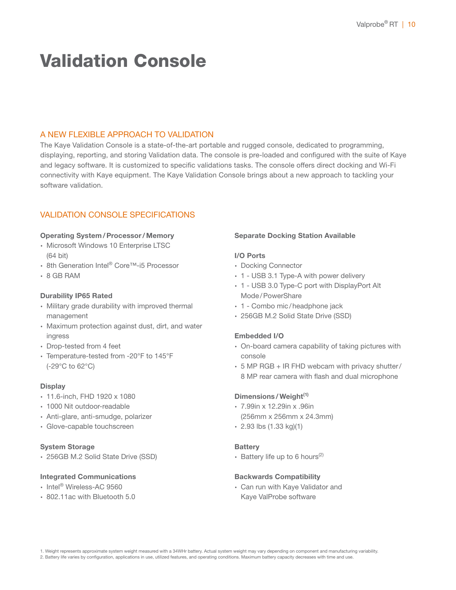# Validation Console

### A NEW FLEXIBLE APPROACH TO VALIDATION

The Kaye Validation Console is a state-of-the-art portable and rugged console, dedicated to programming, displaying, reporting, and storing Validation data. The console is pre-loaded and configured with the suite of Kaye and legacy software. It is customized to specific validations tasks. The console offers direct docking and Wi-Fi connectivity with Kaye equipment. The Kaye Validation Console brings about a new approach to tackling your software validation.

# VALIDATION CONSOLE SPECIFICATIONS

#### Operating System/Processor/Memory

- ∙ Microsoft Windows 10 Enterprise LTSC (64 bit)
- ∙ 8th Generation Intel® Core™-i5 Processor
- ∙ 8 GB RAM

#### Durability IP65 Rated

- ∙ Military grade durability with improved thermal management
- ∙ Maximum protection against dust, dirt, and water ingress
- ∙ Drop-tested from 4 feet
- ∙ Temperature-tested from -20°F to 145°F (-29°C to 62°C)

#### **Display**

- ∙ 11.6-inch, FHD 1920 x 1080
- ∙ 1000 Nit outdoor-readable
- ∙ Anti-glare, anti-smudge, polarizer
- ∙ Glove-capable touchscreen

#### System Storage

∙ 256GB M.2 Solid State Drive (SSD)

#### Integrated Communications

- ∙ Intel® Wireless-AC 9560
- ∙ 802.11ac with Bluetooth 5.0

#### Separate Docking Station Available

#### I/O Ports

- ∙ Docking Connector
- ∙ 1 USB 3.1 Type-A with power delivery
- ∙ 1 USB 3.0 Type-C port with DisplayPort Alt Mode/PowerShare
- ∙ 1 Combo mic/headphone jack
- ∙ 256GB M.2 Solid State Drive (SSD)

#### Embedded I/O

- ∙ On-board camera capability of taking pictures with console
- ∙ 5 MP RGB + IR FHD webcam with privacy shutter/ 8 MP rear camera with flash and dual microphone

#### Dimensions / Weight<sup>(1)</sup>

- ∙ 7.99in x 12.29in x .96in (256mm x 256mm x 24.3mm)
- ∙ 2.93 lbs (1.33 kg)(1)

#### **Battery**

∙ Battery life up to 6 hours(2)

#### Backwards Compatibility

∙ Can run with Kaye Validator and Kaye ValProbe software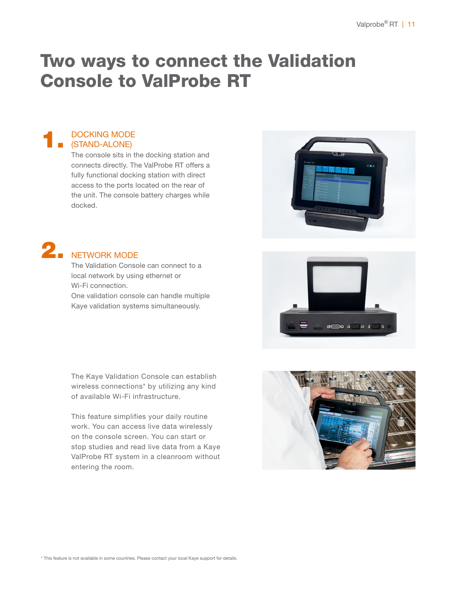# Two ways to connect the Validation Console to ValProbe RT

#### 1. DOCKING MODE (STAND-ALONE)

The console sits in the docking station and connects directly. The ValProbe RT offers a fully functional docking station with direct access to the ports located on the rear of the unit. The console battery charges while docked.



The Validation Console can connect to a local network by using ethernet or Wi-Fi connection.

One validation console can handle multiple Kaye validation systems simultaneously.

The Kaye Validation Console can establish wireless connections\* by utilizing any kind of available Wi-Fi infrastructure.

This feature simplifies your daily routine work. You can access live data wirelessly on the console screen. You can start or stop studies and read live data from a Kaye ValProbe RT system in a cleanroom without entering the room.





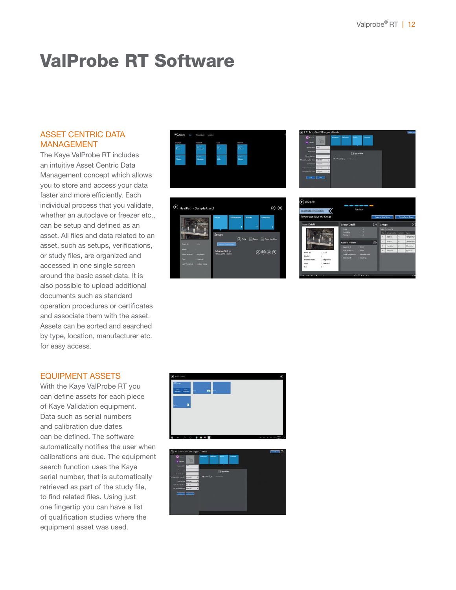# ValProbe RT Software

# ASSET CENTRIC DATA MANAGEMENT

The Kaye ValProbe RT includes an intuitive Asset Centric Data Management concept which allows you to store and access your data faster and more efficiently. Each individual process that you validate, whether an autoclave or freezer etc., can be setup and defined as an asset. All files and data related to an asset, such as setups, verifications, or study files, are organized and accessed in one single screen around the basic asset data. It is also possible to upload additional documents such as standard operation procedures or certificates and associate them with the asset. Assets can be sorted and searched by type, location, manufacturer etc. for easy access.

### EQUIPMENT ASSETS

With the Kaye ValProbe RT you can define assets for each piece of Kaye Validation equipment. Data such as serial numbers and calibration due dates can be defined. The software automatically notifies the user when calibrations are due. The equipment search function uses the Kaye serial number, that is automatically retrieved as part of the study file, to find related files. Using just one fingertip you can have a list of qualification studies where the equipment asset was used.





| 0.1                                                 | <b>With Assoc</b><br><b>Laborers</b><br><b>Communication</b><br> |  |
|-----------------------------------------------------|------------------------------------------------------------------|--|
| <b>SO</b><br><b>W. Corea</b>                        |                                                                  |  |
| Endpress (C)<br>WT.                                 |                                                                  |  |
| Anal Barre                                          | <b>Elizabeth Calve</b>                                           |  |
| <b>Model-Marchine</b>                               |                                                                  |  |
| <b>Manufacturing Col Date</b><br>quotient           | <b>Verification</b><br>Editorial                                 |  |
| Unit Cal Sats<br><b>WATION</b>                      |                                                                  |  |
| Coloration (the San<br><b>Inicial</b>               |                                                                  |  |
| Lam Venthallan Dale<br><b><i><u>inizian</u></i></b> |                                                                  |  |
|                                                     |                                                                  |  |
|                                                     |                                                                  |  |

| Review and Save the Setup |                              |                                     |                   |   | Copy in New Sirius |                                  |    | <b>Create Setup Report</b> |
|---------------------------|------------------------------|-------------------------------------|-------------------|---|--------------------|----------------------------------|----|----------------------------|
| <b>Asset Details</b>      |                              | <b>Sensor Details</b>               |                   | ø | Groups             |                                  |    | ø                          |
|                           |                              | <b>Tekip</b>                        | <b>1979</b>       |   |                    | <b>Total Groups 24</b>           |    |                            |
|                           |                              | <b>Humidity</b><br><b>Pinnisher</b> | $1 - 2$<br>$\sim$ |   |                    | No.   Googlines   Senior   Type. |    |                            |
|                           |                              |                                     |                   |   |                    | <b>bo</b> id                     | ٠  | Severala                   |
|                           |                              | <b>Report Header</b>                |                   | ⊘ | z                  | FonDet                           | ٠  | Temperatur                 |
|                           |                              | Aust 10 #                           | $-7777$           |   |                    | <b>Humislay</b>                  | q. | <b>Howardow</b>            |
|                           |                              | SOF POISOIL                         | <b>CONT</b>       |   | ٠                  | Postage                          | ä  | Retaure                    |
| Asset (C)<br>Model        | : 7777<br>868                | Load Description [7] sample Road    |                   |   |                    |                                  |    |                            |
| Manufacturer              | 1 Ampheto                    | Cidewrit -                          | . <b>Justro</b>   |   |                    |                                  |    |                            |
| Type                      | 1. Heatflath                 |                                     |                   |   |                    |                                  |    |                            |
| tire                      | THE R. P. LEWIS CO., LANSING |                                     |                   |   |                    |                                  |    |                            |



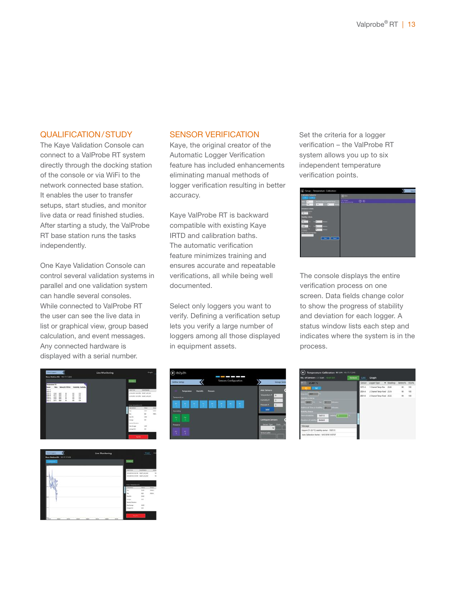### QUALIFICATION/STUDY

The Kaye Validation Console can connect to a ValProbe RT system directly through the docking station of the console or via WiFi to the network connected base station. It enables the user to transfer setups, start studies, and monitor live data or read finished studies. After starting a study, the ValProbe RT base station runs the tasks independently.

One Kaye Validation Console can control several validation systems in parallel and one validation system can handle several consoles. While connected to ValProbe RT the user can see the live data in list or graphical view, group based calculation, and event messages. Any connected hardware is displayed with a serial number.

### SENSOR VERIFICATION

Kaye, the original creator of the Automatic Logger Verification feature has included enhancements eliminating manual methods of logger verification resulting in better accuracy.

Kaye ValProbe RT is backward compatible with existing Kaye IRTD and calibration baths. The automatic verification feature minimizes training and ensures accurate and repeatable verifications, all while being well documented.

Select only loggers you want to verify. Defining a verification setup lets you verify a large number of loggers among all those displayed in equipment assets.

Set the criteria for a logger verification – the ValProbe RT system allows you up to six independent temperature verification points.

| + Setup - Temperature Calibration                                             |            |    | <b>Tailord B</b> |
|-------------------------------------------------------------------------------|------------|----|------------------|
| Cultosten Selpoints                                                           | <b>Out</b> |    |                  |
| <b>Box Streeting</b><br><b>SR</b><br>$40.4 - 1$<br>The list<br>$\overline{m}$ | OESPAYS    | 00 |                  |
| <b>Deviation Criteria</b><br>$18 - 12$                                        |            |    |                  |
| <b>Staking Criteria</b><br><b>ACCOMMENTATION PRODUCT</b>                      |            |    |                  |
| m.<br>98617<br>٠<br>×<br><b>W Public</b><br>SOF Protocol Number               |            |    |                  |
| ٠<br>⊩⊶                                                                       |            |    |                  |
|                                                                               |            |    |                  |
|                                                                               |            |    |                  |

The console displays the entire verification process on one screen. Data fields change color to show the progress of stability and deviation for each logger. A status window lists each step and indicates where the system is in the process.







| No. of Sensors: 3 Start: 15:07:07<br><b>Hackers</b>                                    | Ust    | Graph                        |                   |              |
|----------------------------------------------------------------------------------------|--------|------------------------------|-------------------|--------------|
| <b>RD</b> could                                                                        | Sensor | Logger Type T Reachage       | <b>Battery</b> 's | <b>RSSIN</b> |
| $\mathbf{H}$                                                                           | YZ75-A | 1 Channel Terror-Files 25.82 | 10 <sup>1</sup>   | 100          |
| <b>UTILIZE</b>                                                                         | A-4085 | J Channel Temp-Fixed 25.56   | $^{16}$           | 120.         |
| talkity Criteta:                                                                       | 8014   | 2 Channel Tenta Fixed 25.53  | 68                | 100          |
| <b>Manzen</b><br>00 000 t t 2                                                          |        |                              |                   |              |
| dational flow at Stability [1]<br><b>TELEVISION</b><br><b>GREW SURA</b>                |        |                              |                   |              |
| $2460\sqrt{1}$<br><b>VERBITTER</b><br>1547:15<br>×.<br><b>HARRY OF WANT</b><br>00,0005 |        |                              |                   |              |
| Missiage                                                                               |        |                              |                   |              |
| Setpoint S1 (26 °C) matchly started - 15:07:15                                         |        |                              |                   |              |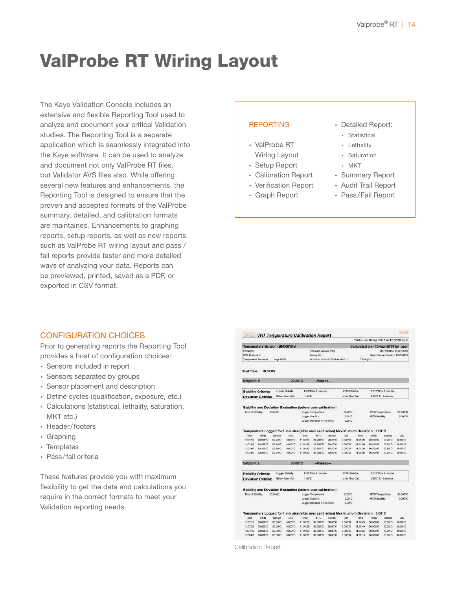# ValProbe RT Wiring Layout

The Kaye Validation Console includes an extensive and flexible Reporting Tool used to analyze and document your critical Validation studies. The Reporting Tool is a separate application which is seamlessly integrated into the Kaye software. It can be used to analyze and document not only ValProbe RT files, but Validator AVS files also. While offering several new features and enhancements, the Reporting Tool is designed to ensure that the proven and accepted formats of the ValProbe summary, detailed, and calibration formats are maintained. Enhancements to graphing reports, setup reports, as well as new reports such as ValProbe RT wiring layout and pass / fail reports provide faster and more detailed ways of analyzing your data. Reports can be previewed, printed, saved as a PDF, or exported in CSV format.

### REPORTING

- ∙ ValProbe RT
- Wiring Layout
- ∙ Setup Report
- ∙ Calibration Report
- ∙ Verification Report
- ∙ Graph Report
- ∙ Detailed Report:
	- ∙ Statistical
- ∙ Lethality
- ∙ Saturation
- ∙ MKT
- ∙ Summary Report
- ∙ Audit Trail Report
- ∙ Pass /Fail Report

### CONFIGURATION CHOICES

Prior to generating reports the Reporting Tool provides a host of configuration choices:

- ∙ Sensors included in report
- ∙ Sensors separated by groups
- ∙ Sensor placement and description
- ∙ Define cycles (qualification, exposure, etc.)
- ∙ Calculations (statistical, lethality, saturation, MKT etc.)
- ∙ Header/footers
- ∙ Graphing
- ∙ Templates
- ∙ Pass/fail criteria

These features provide you with maximum flexibility to get the data and calculations you require in the correct formats to meet your Validation reporting needs.

|                             |                                                                                        |                    |                    |                      |                                                    |                    |                             |                      | Printed on 10-Apr-2018 at 19:05:50 by b            |                                 |                            |
|-----------------------------|----------------------------------------------------------------------------------------|--------------------|--------------------|----------------------|----------------------------------------------------|--------------------|-----------------------------|----------------------|----------------------------------------------------|---------------------------------|----------------------------|
|                             | Temperature Sensor - SN00012-A                                                         |                    |                    |                      |                                                    |                    |                             |                      | Calibrated on - 10-Apr-2018 by user                |                                 |                            |
| Company:                    |                                                                                        |                    |                    |                      | Firmware Version: 2.00                             |                    |                             |                      |                                                    | VRT Version: 10.00.00.10        |                            |
| SOP Protocol #:             |                                                                                        |                    |                    |                      | Battery life:                                      |                    |                             |                      |                                                    | ReportWizard Version: 100000010 |                            |
| <b>Temperature Standard</b> |                                                                                        | Kaye IRTD          |                    |                      | KL25/60-L60361 GESM 08-MAR-17                      |                    |                             | ITS-90(°C)           |                                                    |                                 |                            |
| <b>Start Time:</b>          | 10:57:05                                                                               |                    |                    |                      |                                                    |                    |                             |                      |                                                    |                                 |                            |
| Setpoint 1:                 |                                                                                        |                    | 20.20°C            |                      | --Passed-                                          |                    |                             |                      |                                                    |                                 |                            |
|                             | <b>Stability Criteria:</b>                                                             |                    | Logger Stability:  |                      | 0.20°C for 2 minutes                               |                    | <b>IRTD Stability:</b>      |                      |                                                    | 0.012°C for 2 minutes           |                            |
|                             | <b>Deviation Criteria:</b>                                                             |                    | Before User Cal:   | 1.00°C               |                                                    |                    | After User Cal:             |                      |                                                    | 0.50°C for 1 minutes            |                            |
|                             |                                                                                        |                    |                    |                      |                                                    |                    |                             |                      |                                                    |                                 |                            |
|                             | Stability and Deviation Evaluation (before user calibration)                           |                    |                    |                      |                                                    |                    |                             |                      |                                                    |                                 |                            |
| Time of Stability:          |                                                                                        | 00:00:00           |                    |                      | Logger Temporature:                                |                    | 20.20°C                     |                      | <b>IRTO Temperature:</b>                           |                                 | 20.200°C                   |
|                             |                                                                                        |                    |                    | Logger Stability:    |                                                    |                    | 0.00°C                      |                      | IRTD Stability:                                    |                                 | $0.000^{\circ}$ C          |
|                             |                                                                                        |                    |                    |                      | Logger Deviation From IRTD:                        |                    | 0.00°C                      |                      |                                                    |                                 |                            |
|                             |                                                                                        |                    |                    |                      |                                                    |                    |                             |                      |                                                    |                                 |                            |
|                             | Temperature Logged for 1 minutes (after user calibration) Maximumum Deviation : 0.00°C |                    |                    |                      |                                                    |                    |                             |                      |                                                    |                                 |                            |
| Time                        | <b>IRTD</b>                                                                            | Sensor             | Dev                | Time                 | <b>IRTD</b>                                        | Sensor             | Dev                         | Time                 | <b>IRTD</b>                                        | Sensor                          | Dev                        |
| 11:01:10                    | 20,200°C                                                                               | 20.20°C            | 0.000°C            | 11:01:15             | 20,200°C                                           | 20.20°C            | 0.000°C                     | 11:01:20             | 20.200°C                                           | 20.20°C                         | 0.000°C                    |
| 11:01:25                    | 20,200 <sub>.</sub> C                                                                  | 20.20°C            | 0.000°C            | 11:01:30             | 20,200°C                                           | 20.20°C            | 0.000°C                     | 11:01:35             | 20.200°C                                           | 20.20°C                         | $0.000^{\circ}$ C          |
| 11:01:40                    | 20,200°C                                                                               | 20.20°C            | 0.000°C            | 11:01:45             | 20,200°C                                           | 20.20°C            | 0.000°C                     | 11:01:50             | 20.200°C                                           | 20.20°C                         | 0.000°C                    |
| 11:01:55                    | 20,200°C                                                                               | 20.20°C            | 0.000°C            | 11:02:00             | 20,200°C                                           | 20.20°C            | 0.000°C                     | 11:02:05             | 20.200°C                                           | 20.20°C                         | 0.000°C                    |
| Setpoint 2:                 |                                                                                        |                    | 30.00°C            |                      | --Passed--                                         |                    |                             |                      |                                                    |                                 |                            |
|                             | <b>Stability Criteria:</b>                                                             |                    | Logger Stability:  |                      | 0.20°C for 2 minutes                               |                    | <b>IRTO Stability:</b>      |                      |                                                    | 0.012°C for 2 minutes           |                            |
|                             | <b>Deviation Criteria:</b>                                                             |                    | Before User Cal:   | 1.00°C               |                                                    |                    | After User Cal:             |                      |                                                    | 0.50°C for 1 minutes            |                            |
|                             |                                                                                        |                    |                    |                      |                                                    |                    |                             |                      |                                                    |                                 |                            |
| Time of Stability:          | Stability and Deviation Evaluation (before user calibration)                           | 00:00:00           |                    | Logger Stability:    | Logoer Temperature:<br>Logger Daviation From IRTD: |                    | 30.00°C<br>0.00°C<br>0.00°C |                      | <b>IRTO Temperature:</b><br><b>IRTD Stability:</b> |                                 |                            |
|                             |                                                                                        |                    |                    |                      |                                                    |                    |                             |                      |                                                    |                                 |                            |
|                             | Temperature Logged for 1 minutes (after user calibration) Maximumum Deviation : 0.00°C |                    |                    |                      |                                                    |                    |                             |                      |                                                    |                                 |                            |
| Time                        | <b>IRTD</b>                                                                            | Sensor             | Day                | Time                 | <b>IRTD</b>                                        | Sensor             | Dev                         | Time                 | <b>IRTD</b>                                        | Sensor                          | 30.000°C<br>0.000 C<br>Dev |
| 11:07:15                    | 30,000°C                                                                               | 30.00°C            | 0.000°C            | 11:07:20             | 30,000°C                                           | 30,00°C            | 8.000°C                     | 11:07:25             | 30,000°C                                           | 30,00°C                         | 0.000°C                    |
| 11:07:30<br>11:07:45        | 30,000°C<br>30,000°C                                                                   | 30.00°C<br>30.00°C | 0.000°C<br>0.000°C | 11:07:35<br>11:07:50 | 30,000°C<br>30,000°C                               | 30,00°C<br>30.00°C | 0.000°C<br>0.000°C          | 11:07:40<br>11:07:55 | 30,000°C<br>30.000°C                               | 30,00°C<br>30.00°C              | 0.000 °C<br>0.000°C        |

Calibration Report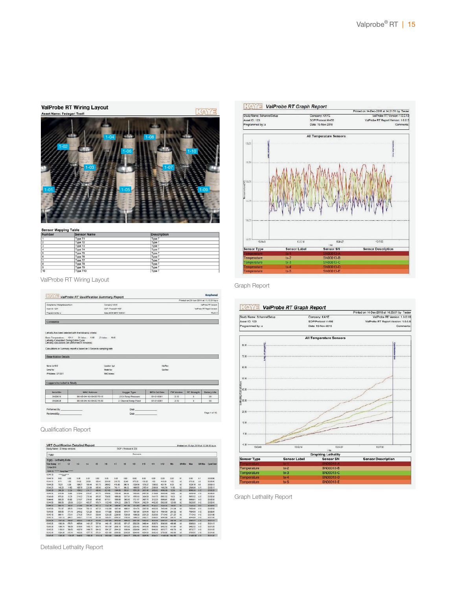| Asset Name: Fedegari Test1                                                                                                               |          |
|------------------------------------------------------------------------------------------------------------------------------------------|----------|
| $1 - 04$<br>$1 - 08$<br>$1 - 02$<br><b>STATE WA</b><br>5.27<br>$1 - 06$<br>$1 - 10$<br>$1 - 03$<br>$1 - 07$<br>B<br>$1 - 05$<br>$1 - 01$ | $1 - 09$ |
|                                                                                                                                          |          |

| Number   | <b>Sensor Name</b> | <b>Description</b> |  |
|----------|--------------------|--------------------|--|
|          |                    |                    |  |
|          | Type T1            | Type T             |  |
| ×,       | Type T2            | Type 1             |  |
| э        | Type T3            | Type 1             |  |
| A        | Type T4            | Type T             |  |
| 5        | Type T5            | Type T             |  |
| $\theta$ | Type T6            | Type T             |  |
| ٠        | Type T7            | Type T             |  |
| 8        | Type T8            | Type T             |  |
| l 9      | Type T9            | Type T             |  |
| 10       | Type T10           | Type T             |  |

ValProbe RT Wiring Layout

ValProbe RT Wiring Layout

|                                                                                     | ValProbe RT Qualification Summary Report                                                                                                                                 |                                       |                                    |                   |                                         | Amphenol                     |
|-------------------------------------------------------------------------------------|--------------------------------------------------------------------------------------------------------------------------------------------------------------------------|---------------------------------------|------------------------------------|-------------------|-----------------------------------------|------------------------------|
|                                                                                     |                                                                                                                                                                          |                                       |                                    |                   | Printed on 29-Jun-2018 at 11:12:51 by a |                              |
| StudyNamic Strump4pross#num                                                         |                                                                                                                                                                          | Company: KAVE                         |                                    |                   |                                         | <b>ValPretic RT Vorcinic</b> |
| Anyntür 1254                                                                        |                                                                                                                                                                          | SOP / Proceed # 4567                  |                                    |                   |                                         | VaFrabe RT Report Version:   |
| Programmed by a                                                                     |                                                                                                                                                                          | Date: 26-04-2018 13:26:21             |                                    |                   |                                         | Flunk D                      |
| <b>Comments</b>                                                                     |                                                                                                                                                                          |                                       |                                    |                   |                                         |                              |
| Lethality Calculated: During Entire Cycle                                           | Lethality has been selected with the following oriteria:<br>Boose Temporahum: 121.1 D Value: 1.00<br>Z Value: 10.0<br>Lethality calculations are performed in minuters). |                                       |                                    |                   |                                         |                              |
|                                                                                     | Calculations in Summary report is based on 5 Seconds sampling rate.                                                                                                      |                                       |                                    |                   |                                         |                              |
|                                                                                     |                                                                                                                                                                          |                                       |                                    |                   |                                         |                              |
|                                                                                     |                                                                                                                                                                          |                                       |                                    |                   |                                         |                              |
|                                                                                     |                                                                                                                                                                          | <b>Location Ivol</b>                  | <b><i><u><b>Garden</b></u></i></b> |                   |                                         |                              |
|                                                                                     | <b>Medal No.:</b>                                                                                                                                                        |                                       | Sw Rey:                            |                   |                                         |                              |
| <b>Base Station Details</b><br>Manache 9217<br><b>Cartal Nav</b><br>PAGINA 127/00 T |                                                                                                                                                                          | <b>MAC Adviser</b>                    |                                    |                   |                                         |                              |
|                                                                                     |                                                                                                                                                                          |                                       |                                    |                   |                                         |                              |
| Serial No.                                                                          | <b>MAC Address</b>                                                                                                                                                       | Logger Type                           | <b>NFG Cal Date</b>                | <b>FW Version</b> | <b>RF Strangth</b>                      |                              |
| SMOD18                                                                              | 00-AB-04-VU-89-03-78-18                                                                                                                                                  | 2 Ch Temp Pressure                    | 01-01-0001                         | 2.10              | $\alpha$                                | <b>Battery Life</b><br>30    |
| Loggers Included in Study<br>99400020                                               | 03-AB-D4-VL489-00-78-20                                                                                                                                                  | 2 Channel Temp-Fixed                  | 01-01-0001                         | 2.40              | $\alpha$                                | 50                           |
| Performed By Performed By                                                           |                                                                                                                                                                          | Date in the control of the control of |                                    |                   |                                         |                              |

Qualification Report

| SOP / Protocol # 235<br>Study Name: 30 temp sensors |                     |               |                |              |             |          |                  |         |                                     |          |            |                |        |                |                |                |                  |
|-----------------------------------------------------|---------------------|---------------|----------------|--------------|-------------|----------|------------------|---------|-------------------------------------|----------|------------|----------------|--------|----------------|----------------|----------------|------------------|
| tigro                                               |                     |               |                |              |             | Comments |                  |         |                                     |          |            |                |        |                |                |                |                  |
| Horp - Lethality Data                               |                     |               |                |              |             |          |                  |         |                                     |          |            |                |        |                |                |                |                  |
| Time Stamp<br>13 Apr 2012                           | <b>R</b>            | 72            | 1 <sup>2</sup> | $\mathbf{H}$ | 16          | 16       | 19               | 16      | 38                                  | $+50$    | 641        | $2 - 12$       |        | <b>SIVILLE</b> | Mag            | <b>SIN NAV</b> | <b>CycleTime</b> |
| 10,44:10                                            | " Dady Darl *****   |               |                |              |             |          |                  |         |                                     |          |            |                |        |                |                |                |                  |
| $10 + 10$                                           | <b>ANNOUNCEMENT</b> |               |                |              |             |          |                  |         |                                     |          |            |                |        |                |                |                |                  |
| 104410                                              | noc.                | <b>o</b> on   | 0.00           | om           | 8.00        | 5.00     | 0.00             | 000     | 000                                 | 0.00     | 0.00       | gga            | 000    | $\frac{1}{2}$  | 000            | 33             | 00:00:00         |
| 104415                                              | RT1                 | 1.02          | 54.22          | 20.68        | 820.45      | 558.90   | 210.72           | 00:40   | 675.02                              | 130.92   | 1,929      | 415.68         | 102    | 12             | <b>FDK 00</b>  | $\omega$       | 09.80.06         |
| 104430                                              | TEJ1                | 8.30          | 105.27         | 106.44       | 421.73      | 350.62   | 495.00           | 345.16  | 1336.16                             | 1039.27  | 1200.00    | 431.34         | 6.39   | 32             | 1236.18        | 14             | 020210           |
| 10:44.35                                            | 143.29              | 11.00         | 10578          | 228.84       | 89.48       | 425.64   | <b>T43 11</b>    | \$48.92 | 1890.00                             | 2195.61  | 2010/05/28 | 1482.04        | 11:00  | 12             | 2508:38        | 1.11           | 00:00:15         |
| 10:44:30                                            | 243.28              | 12:39         | 168.52         | 274.77       | <b>GRAI</b> | 821.40   | 1994.60          | 380.01  | 1093.28                             | 2417.45  | 24/02/93   | 494.90         | 12:39  | $\mathbf{12}$  | <b>4568.93</b> | 112            | 02/02/20         |
| 1044.35                                             | 512.59              | 1302          | 21048          | 276.57       | 491.78      | 579.56   | 1785.42          | 655.96  | 1053.05                             | 2421.38  | 3119.90    | 003249         | 1502   | $\ddot{x}$     | 1030.49        | $-12$          | 05:00:25         |
| 10:44:40                                            | 675.91              | 12.29         | 21132          | 279.84       | 455.07      | 339.00   | tik's 10         | 1017.01 | 1055.13                             | 2424 Bf  | 314175     | 0963.92        | 13.78  | t5             | <b>MAS 32</b>  | 1.12           | 00:00:30         |
| 104445                                              | 655.25              | 45.00         | 21137          | 279.58       | 495.93      | 317.81   | 1505.65          | 1043.60 | (721.17)                            | 2427.75  | 芝豆芝        | 0503.91        | 65.00  | se             | 0009231        | 612            | 00:00:35         |
| 1044.50                                             | 090.58              | 125.90        | 21231          | 485.57       | 476.74      | 192543   | 1874.23          | 1209.71 | 1799.14                             | 2432.04  | 4442.90    | 0835.90        | 126.93 | $^{12}$        | 0828.95        | $+12$          | 08 93 40         |
| 104435                                              | 695.70              | 188.87        | 215.98         | 091.54       | 437.10      | 1126.14  | <b>ITAGE SIT</b> | 1477.90 | <b><i><u><i>INC2 03</i></u></i></b> | 2461.73  | 47222      | 7230.32        | 195.87 | 82             | 2220.12        | F12            | 00:00:45         |
| 1045:00                                             | 704.97              | 305.51        | 218.34         | 700.13       | 487.25      | 1132.69  | 1907.45          | 1490.81 | 1614.78                             | 2897.66  | 4663.56    | 7456-40        | 218.34 | $^{*}$         | 7458.46        | $1 - 12$       | 02:00:50         |
| 10:45:05                                            | 836.83              | 371.16        | 248.32         | 721.29       | 423.83      | 1178.00  | 1210.65          | 1514.77 | 1597.00                             | 3314.48  | 0027.10    | 7004.00        | 246.32 | 64             | 7504.58        | 612            | 00.02.00         |
| 104210                                              | 889.31              | ATA 91        | 271.35         | 754 81       | \$10.96     | 1230.35  | 2238.80          | 1529.08 | 1990.00                             | 3301.20  | 5320.86    | 771540         | 271.25 | 10             | 771541         | $1 - 12$       | 00:01:00         |
| 1048.15                                             | 1031.72             | 504.51        | 338.21         | 227.43       | 501.66      | 1253.61  | 1506.57          | 1705.63 | 100033                              | 3962.11  | 5589.01    | 0544.00        | 336.31 | 44             | 2544.06        | $+12$          | DB SY OF         |
| 10:45:20                                            | 1057.62             | 638.07        | 402.34         | 1105.27      | 812.01      | 144743   | 2870.00          | 1860.32 | 2001.48                             | 3322.07  | 5624.56    | <b>QSE5.8T</b> | 432.34 | 14             | <b>DO03.47</b> | F12            | 00.07.10         |
| 1048.25                                             | 1020.54             | 675.71        | 405.90         | 1431.27      | 727.90      | 140115   | 2013.03          | 1271.27 | 2022.28                             | 3400.44  | 592073     | 9380.93        | 405.05 | 30             | 000033         | $5 - 12$       | 02/01/15         |
| 104930                                              | 1098.74             | <b>TDG.58</b> | 418.88         | 1433.11      | 233.78      | 1914.38  | 3838.18          | 1873.82 | 2034.42                             | 3413.86  | 4600.60    | 0482.32        | 418.88 | 35             | DARTS 12       | 1.12           | 02:01:20         |
| 104505                                              | 1102.01             | 700.52        | 42174          | 1404.75      | \$54.55     | 100737   | 2544.03          | 1200.06 | 2000.00                             | 04/03/21 | 404141     | 0530.77        | 430.75 | 10             | 1870.77        | 5.42           | 00:04:05         |
| 104540                                              | 1234.06             | 015.92        | 455.88         | 1437.72      | \$76.64     | 1551.68  | 3906.02          | 2210.29 | 2040.48                             | 3834.66  | 4642.45    | 0700.06        | 436.68 | 43             | 070035         | $+12$          | 00-01:30         |
| 104545                                              | 1206.00             | 1124.05       | 544.53         | 1500.05      | 4013.49     | 1020.00  | 1008.00          | 2410.17 | 2054.10                             | 5008.68  | 4564.31    | 11420.00       | 044.53 | 33             | 1980 00 1-12   |                | 00:01:55         |

Detailed Lethality Report



Graph Report

 $TV7.1V72$ 

#### **KeY's ValProbe RT Graph Report** Printed on 14-Dec-2018 at 14:25:51 by Tester<br>ValProbe RT Version: 1.0.0.18 Sludy Name: 5channelSetup<br>Asset ID: 123<br>Programmed by: a Company: KAYE SOP/Protocol #:456<br>Date: 19-Nov-2018 ValProbe RT Report Version: 1.0.0.5 All Temperature Sensors min  $n<sub>0</sub>$  $65.92$ 55.00 15.00 .<br>2 мм zia 18.00 ix.  $\ddot{x}$ 15044 131457 13:1735 13121 Exercise<br>Graphing Lethality<br>Engels SN Sensor Type **Sensor Description Sensor Label** Sensor SN SN00013-B<br>SN00013-C<br>SN00013-D  $\frac{tx-2}{tx-3}$ emperature mperature SN00013-E

Graph Lethality Report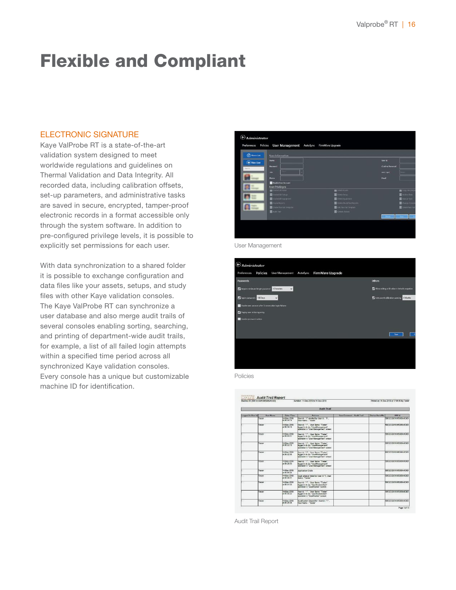# Flexible and Compliant

#### ELECTRONIC SIGNATURE

Kaye ValProbe RT is a state-of-the-art validation system designed to meet worldwide regulations and guidelines on Thermal Validation and Data Integrity. All recorded data, including calibration offsets, set-up parameters, and administrative tasks are saved in secure, encrypted, tamper-proof electronic records in a format accessible only through the system software. In addition to pre-configured privilege levels, it is possible to explicitly set permissions for each user.

With data synchronization to a shared folder it is possible to exchange configuration and data files like your assets, setups, and study files with other Kaye validation consoles. The Kaye ValProbe RT can synchronize a user database and also merge audit trails of several consoles enabling sorting, searching, and printing of department-wide audit trails, for example, a list of all failed login attempts within a specified time period across all synchronized Kaye validation consoles. Every console has a unique but customizable machine ID for identification.



User Management





|                    | Machine ID: TNEFOCCES/IDSAGDSA4CSEX | Printed on 14-Dec-2018 at 17:05:59 by Texter |                                                                                                                              |                                   |                       |                              |  |
|--------------------|-------------------------------------|----------------------------------------------|------------------------------------------------------------------------------------------------------------------------------|-----------------------------------|-----------------------|------------------------------|--|
| <b>Audit Trail</b> |                                     |                                              |                                                                                                                              |                                   |                       |                              |  |
| Logged in User to  | <b>User Name</b>                    | <b>Oute / Time</b>                           | Anisons                                                                                                                      | <b>User Comment - Aught Trail</b> | <b>Gesine SeriaWe</b> | <b>HMM Id</b>                |  |
|                    | Toctor                              | 14.0ec.2018<br>st 06:34-19                   | Lisar ld : "3" resoluci by Usar id : "1".<br>UserName: "Tester"                                                              |                                   |                       | CRESCORD IN A ROAD           |  |
|                    | Tastar                              | <b>M.Dec. 2018</b><br>$+06.56 + 13$          | Elean M - "4" Liner Name: "Taxing"<br>loggedin to do "UnerManagement"<br>coverston in "Lisar Management" screen              |                                   |                       | <b>CEONAMICANTERSTOCIES</b>  |  |
|                    | TAINE                               | 14 Dec-2018<br>MD-72-20                      | User M.C.D., User Name: "Tester"<br>locapid in to do "UserManagement"<br>countion in 'User Management' screen                |                                   |                       | 06044036126538044030         |  |
|                    | Tasker                              | 14.Dec-2018<br>WDN-32.15                     | Class of c <sup>o</sup> n". User Nome: "Testar"<br>logged in to do "UserManagement"<br>conration in "User Monsoement" conner |                                   |                       | HBF2CC851345305A4CGD         |  |
|                    | Taster                              | 14-Dec-2010<br>at 06:32.68                   | User M . "1". User Name: "Taske"<br>logged in to do "CloerManagement"<br>loperation in "User Management" seesen              |                                   |                       | CECIAARCSS10ECCCCCCC         |  |
|                    | Torstor                             | 14 Dec-2018<br>$x = 39.98$                   | Death! "I" Live News "Tester"<br>logged in to do "UserManagement"<br>couration in "User Management" screen                   |                                   |                       | 28F20085185385A4090          |  |
|                    | Turatur                             | 14.Dec.2018<br>at 05:55.40                   | Apalication Crash                                                                                                            |                                   |                       | CECOAA12453844C3D            |  |
|                    | TAIWAY                              | 14 Dec-2018<br>$+06.98.61$                   | Look attendt falled for User 1d."1. User<br>Name: "Tester"                                                                   |                                   |                       |                              |  |
|                    | Taster                              | $+$ Cec- $X$ <sup>11</sup><br>166.08.03      | Knorld :"!". User Name: "Tester"<br>located in to do "QualificationStart"<br>keyedon in "Dualdication" scassers              |                                   |                       | <b>BOX 2008 E12653BA4090</b> |  |
|                    | Tester                              | 4-Dec-2018<br>VL06/30 22                     | User Id :"1" Liser Name: "Tester"<br>heaters files? as a shortest<br>equestion in "Disabilication" syncom-                   |                                   |                       | 18720085124530544090         |  |
|                    | Tassan                              | 14-Dec-2018<br>at 05:35:38                   | Qualification Shoped for Useria : "1".<br><b>Ucar Name "Tester"</b>                                                          |                                   |                       | CECONAMICABLE 202020         |  |

Audit Trail Report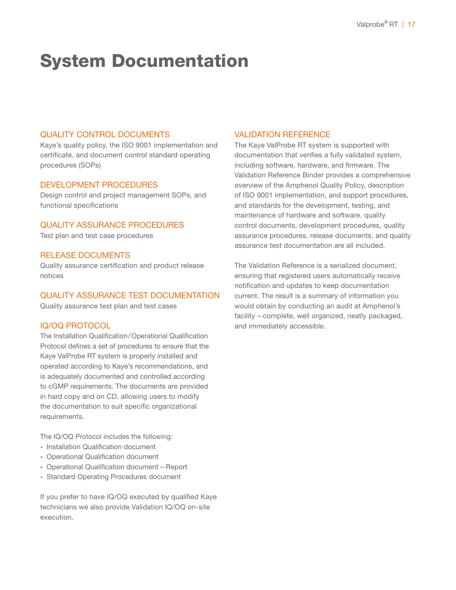# System Documentation

### QUALITY CONTROL DOCUMENTS

Kaye's quality policy, the ISO 9001 implementation and certificate, and document control standard operating procedures (SOPs)

#### DEVELOPMENT PROCEDURES

Design control and project management SOPs, and functional specifications

# QUALITY ASSURANCE PROCEDURES

Test plan and test case procedures

#### RELEASE DOCUMENTS

Quality assurance certification and product release notices

#### QUALITY ASSURANCE TEST DOCUMENTATION

Quality assurance test plan and test cases

#### IQ/OQ PROTOCOL

The Installation Qualification/Operational Qualification Protocol defines a set of procedures to ensure that the Kaye ValProbe RT system is properly installed and operated according to Kaye's recommendations, and is adequately documented and controlled according to cGMP requirements. The documents are provided in hard copy and on CD, allowing users to modify the documentation to suit specific organizational requirements.

The IQ/OQ Protocol includes the following:

- ∙ Installation Qualification document
- ∙ Operational Qualification document
- ∙ Operational Qualification document Report
- ∙ Standard Operating Procedures document

If you prefer to have IQ/OQ executed by qualified Kaye technicians we also provide Validation IQ/OQ on-site execution.

#### VALIDATION REFERENCE

The Kaye ValProbe RT system is supported with documentation that verifies a fully validated system, including software, hardware, and firmware. The Validation Reference Binder provides a comprehensive overview of the Amphenol Quality Policy, description of ISO 9001 implementation, and support procedures, and standards for the development, testing, and maintenance of hardware and software. quality control documents, development procedures, quality assurance procedures, release documents, and quality assurance test documentation are all included.

The Validation Reference is a serialized document, ensuring that registered users automatically receive notification and updates to keep documentation current. The result is a summary of information you would obtain by conducting an audit at Amphenol's facility – complete, well organized, neatly packaged, and immediately accessible.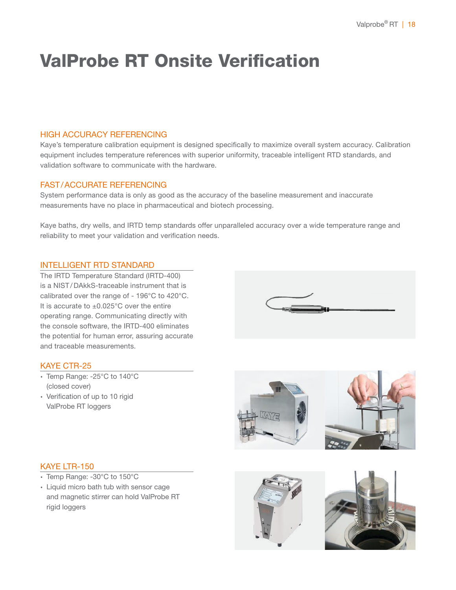# ValProbe RT Onsite Verification

### HIGH ACCURACY REFERENCING

Kaye's temperature calibration equipment is designed specifically to maximize overall system accuracy. Calibration equipment includes temperature references with superior uniformity, traceable intelligent RTD standards, and validation software to communicate with the hardware.

### FAST/ACCURATE REFERENCING

System performance data is only as good as the accuracy of the baseline measurement and inaccurate measurements have no place in pharmaceutical and biotech processing.

Kaye baths, dry wells, and IRTD temp standards offer unparalleled accuracy over a wide temperature range and reliability to meet your validation and verification needs.

### INTELLIGENT RTD STANDARD

The IRTD Temperature Standard (IRTD-400) is a NIST / DAkkS-traceable instrument that is calibrated over the range of - 196°C to 420°C. It is accurate to ±0.025°C over the entire operating range. Communicating directly with the console software, the IRTD-400 eliminates the potential for human error, assuring accurate and traceable measurements.



# KAYE CTR-25

- ∙ Temp Range: -25°C to 140°C (closed cover)
- ∙ Verification of up to 10 rigid ValProbe RT loggers



### KAYE LTR-150

- ∙ Temp Range: -30°C to 150°C
- ∙ Liquid micro bath tub with sensor cage and magnetic stirrer can hold ValProbe RT rigid loggers

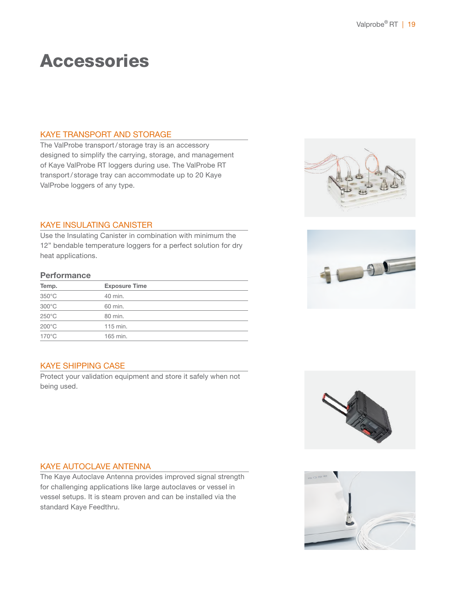# Accessories

#### KAYE TRANSPORT AND STORAGE

The ValProbe transport/ storage tray is an accessory designed to simplify the carrying, storage, and management of Kaye ValProbe RT loggers during use. The ValProbe RT transport/ storage tray can accommodate up to 20 Kaye ValProbe loggers of any type.

### KAYE INSULATING CANISTER

Use the Insulating Canister in combination with minimum the 12" bendable temperature loggers for a perfect solution for dry heat applications.

#### **Performance**

| Temp.           | <b>Exposure Time</b> |  |
|-----------------|----------------------|--|
| $350^{\circ}$ C | 40 min.              |  |
| $300^{\circ}$ C | 60 min.              |  |
| $250^{\circ}$ C | 80 min.              |  |
| $200^{\circ}$ C | 115 min.             |  |
| $170^{\circ}$ C | 165 min.             |  |
|                 |                      |  |

### KAYE SHIPPING CASE

Protect your validation equipment and store it safely when not being used.







#### KAYE AUTOCLAVE ANTENNA

The Kaye Autoclave Antenna provides improved signal strength for challenging applications like large autoclaves or vessel in vessel setups. It is steam proven and can be installed via the standard Kaye Feedthru.